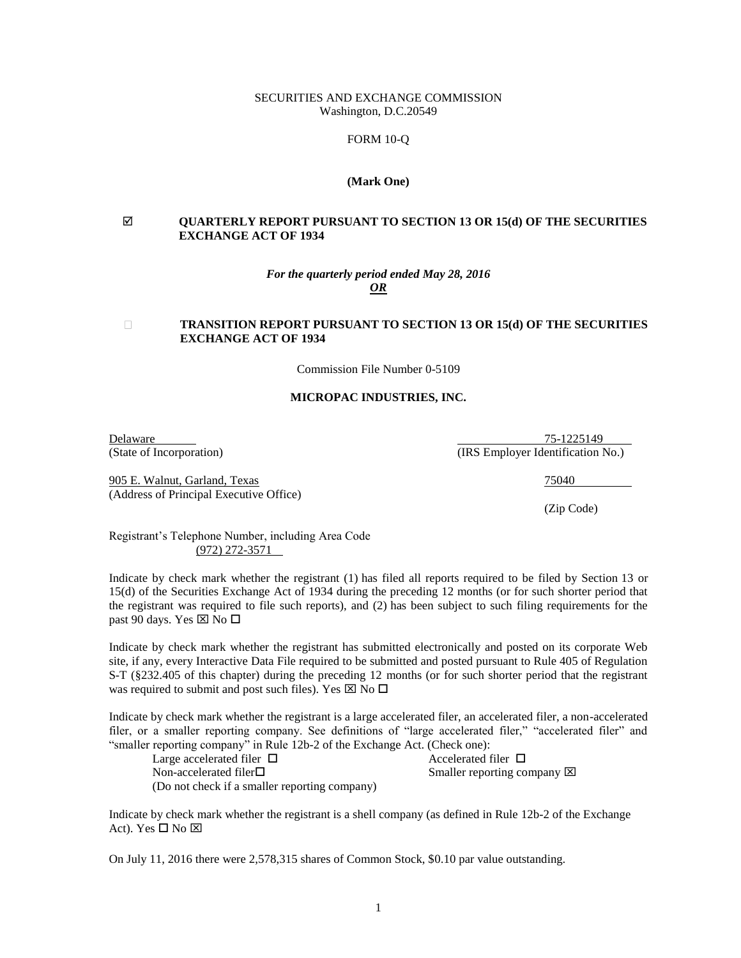## SECURITIES AND EXCHANGE COMMISSION Washington, D.C.20549

# FORM 10-Q

### **(Mark One)**

# **QUARTERLY REPORT PURSUANT TO SECTION 13 OR 15(d) OF THE SECURITIES EXCHANGE ACT OF 1934**

### *For the quarterly period ended May 28, 2016 OR*

#### **TRANSITION REPORT PURSUANT TO SECTION 13 OR 15(d) OF THE SECURITIES**   $\Box$ **EXCHANGE ACT OF 1934**

Commission File Number 0-5109

### **MICROPAC INDUSTRIES, INC.**

905 E. Walnut, Garland, Texas 75040 (Address of Principal Executive Office)

**Delaware 2018** 25-1225149 (State of Incorporation) (IRS Employer Identification No.)

(Zip Code)

Registrant's Telephone Number, including Area Code (972) 272-3571

Indicate by check mark whether the registrant (1) has filed all reports required to be filed by Section 13 or 15(d) of the Securities Exchange Act of 1934 during the preceding 12 months (or for such shorter period that the registrant was required to file such reports), and (2) has been subject to such filing requirements for the past 90 days. Yes  $\boxtimes$  No  $\square$ 

Indicate by check mark whether the registrant has submitted electronically and posted on its corporate Web site, if any, every Interactive Data File required to be submitted and posted pursuant to Rule 405 of Regulation S-T (§232.405 of this chapter) during the preceding 12 months (or for such shorter period that the registrant was required to submit and post such files). Yes  $\boxtimes$  No  $\square$ 

Indicate by check mark whether the registrant is a large accelerated filer, an accelerated filer, a non-accelerated filer, or a smaller reporting company. See definitions of "large accelerated filer," "accelerated filer" and "smaller reporting company" in Rule 12b-2 of the Exchange Act. (Check one):

Large accelerated filer  $\Box$  Accelerated filer  $\Box$ Non-accelerated filer□ Smaller reporting company ⊠ (Do not check if a smaller reporting company)

Indicate by check mark whether the registrant is a shell company (as defined in Rule 12b-2 of the Exchange Act). Yes  $\square$  No  $\square$ 

On July 11, 2016 there were 2,578,315 shares of Common Stock, \$0.10 par value outstanding.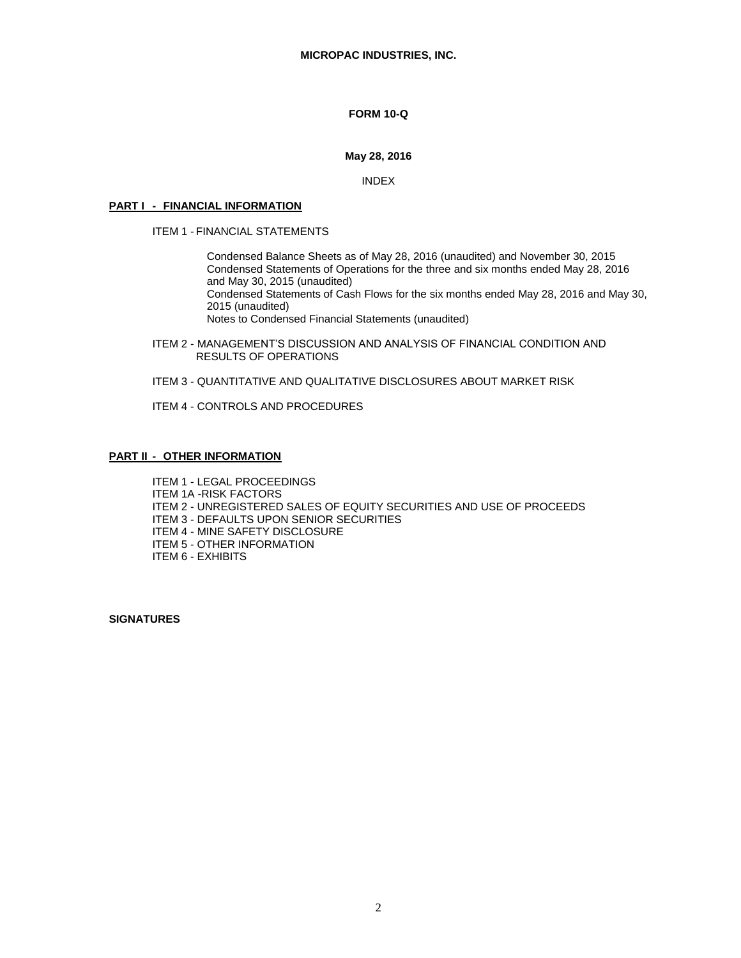# **FORM 10-Q**

# **May 28, 2016**

INDEX

## **PART I - FINANCIAL INFORMATION**

ITEM 1 - FINANCIAL STATEMENTS

Condensed Balance Sheets as of May 28, 2016 (unaudited) and November 30, 2015 Condensed Statements of Operations for the three and six months ended May 28, 2016 and May 30, 2015 (unaudited) Condensed Statements of Cash Flows for the six months ended May 28, 2016 and May 30, 2015 (unaudited) Notes to Condensed Financial Statements (unaudited)

- ITEM 2 MANAGEMENT'S DISCUSSION AND ANALYSIS OF FINANCIAL CONDITION AND RESULTS OF OPERATIONS
- ITEM 3 QUANTITATIVE AND QUALITATIVE DISCLOSURES ABOUT MARKET RISK

ITEM 4 - CONTROLS AND PROCEDURES

# **PART II - OTHER INFORMATION**

ITEM 1 - LEGAL PROCEEDINGS ITEM 1A -RISK FACTORS ITEM 2 - UNREGISTERED SALES OF EQUITY SECURITIES AND USE OF PROCEEDS ITEM 3 - DEFAULTS UPON SENIOR SECURITIES ITEM 4 - MINE SAFETY DISCLOSURE ITEM 5 - OTHER INFORMATION ITEM 6 - EXHIBITS

**SIGNATURES**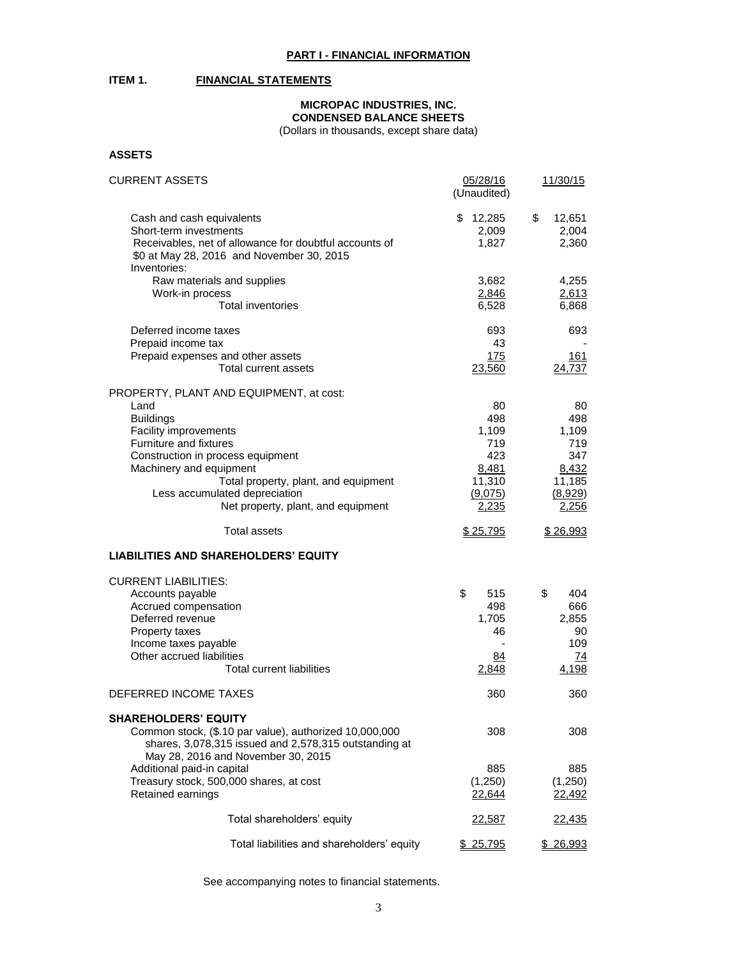# **ITEM 1. FINANCIAL STATEMENTS**

# **MICROPAC INDUSTRIES, INC. CONDENSED BALANCE SHEETS**

(Dollars in thousands, except share data)

# **ASSETS**

| <b>CURRENT ASSETS</b>                                                 | 05/28/16<br>(Unaudited) | 11/30/15                 |  |
|-----------------------------------------------------------------------|-------------------------|--------------------------|--|
| Cash and cash equivalents                                             | \$12,285                | \$<br>12,651             |  |
| Short-term investments                                                | 2,009                   | 2,004                    |  |
| Receivables, net of allowance for doubtful accounts of                | 1,827                   | 2,360                    |  |
| \$0 at May 28, 2016 and November 30, 2015                             |                         |                          |  |
| Inventories:                                                          |                         |                          |  |
| Raw materials and supplies<br>Work-in process                         | 3,682<br>2,846          | 4,255<br>2,613           |  |
| <b>Total inventories</b>                                              | 6,528                   | 6,868                    |  |
|                                                                       |                         |                          |  |
| Deferred income taxes                                                 | 693                     | 693                      |  |
| Prepaid income tax<br>Prepaid expenses and other assets               | 43<br>175               | <u>161</u>               |  |
| Total current assets                                                  | 23,560                  | 24,737                   |  |
|                                                                       |                         |                          |  |
| PROPERTY, PLANT AND EQUIPMENT, at cost:                               |                         |                          |  |
| Land                                                                  | 80<br>498               | 80                       |  |
| <b>Buildings</b><br>Facility improvements                             | 1,109                   | 498<br>1,109             |  |
| Furniture and fixtures                                                | 719                     | 719                      |  |
| Construction in process equipment                                     | 423                     | 347                      |  |
| Machinery and equipment                                               | 8,481                   | 8,432                    |  |
| Total property, plant, and equipment                                  | 11,310                  | 11,185                   |  |
| Less accumulated depreciation                                         | (9,075)                 | (8,929)                  |  |
| Net property, plant, and equipment                                    | 2,235                   | 2,256                    |  |
| <b>Total assets</b>                                                   | \$25,795                | \$26,993                 |  |
| <b>LIABILITIES AND SHAREHOLDERS' EQUITY</b>                           |                         |                          |  |
| <b>CURRENT LIABILITIES:</b>                                           |                         |                          |  |
| Accounts payable                                                      | \$<br>515               | \$<br>404                |  |
| Accrued compensation                                                  | 498                     | 666                      |  |
| Deferred revenue                                                      | 1,705                   | 2,855                    |  |
| Property taxes                                                        | 46                      | 90                       |  |
| Income taxes payable<br>Other accrued liabilities                     |                         | 109                      |  |
| <b>Total current liabilities</b>                                      | 84<br>2,848             | $\overline{74}$<br>4,198 |  |
|                                                                       |                         |                          |  |
| DEFERRED INCOME TAXES                                                 | 360                     | 360                      |  |
| <b>SHAREHOLDERS' EQUITY</b>                                           |                         |                          |  |
| Common stock, (\$.10 par value), authorized 10,000,000                | 308                     | 308                      |  |
| shares, 3,078,315 issued and 2,578,315 outstanding at                 |                         |                          |  |
| May 28, 2016 and November 30, 2015                                    |                         |                          |  |
| Additional paid-in capital<br>Treasury stock, 500,000 shares, at cost | 885<br>(1,250)          | 885<br>(1,250)           |  |
| Retained earnings                                                     | 22,644                  | 22,492                   |  |
|                                                                       |                         |                          |  |
| Total shareholders' equity                                            | 22,587                  | 22,435                   |  |
| Total liabilities and shareholders' equity                            | \$ 25,795               | \$ 26,993                |  |

See accompanying notes to financial statements.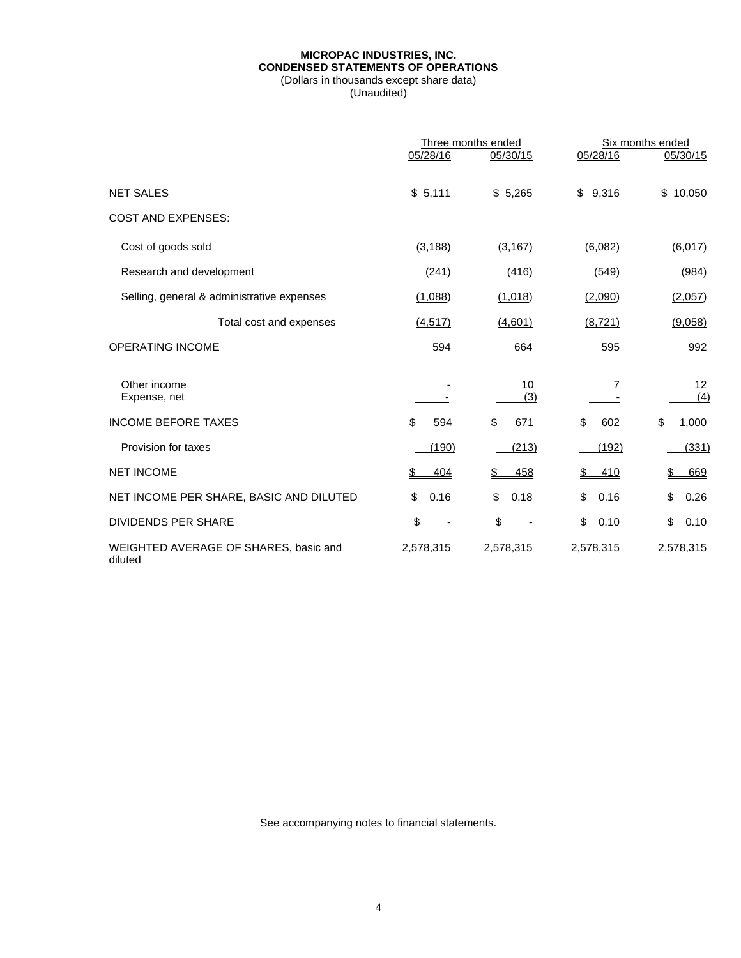# **MICROPAC INDUSTRIES, INC. CONDENSED STATEMENTS OF OPERATIONS** (Dollars in thousands except share data)

(Unaudited)

|                                                  | Three months ended |            | Six months ended |              |
|--------------------------------------------------|--------------------|------------|------------------|--------------|
|                                                  | 05/28/16           | 05/30/15   | 05/28/16         | 05/30/15     |
| <b>NET SALES</b>                                 | \$5,111            | \$5,265    | 9,316<br>\$      | \$<br>10,050 |
| <b>COST AND EXPENSES:</b>                        |                    |            |                  |              |
| Cost of goods sold                               | (3, 188)           | (3, 167)   | (6,082)          | (6,017)      |
| Research and development                         | (241)              | (416)      | (549)            | (984)        |
| Selling, general & administrative expenses       | (1,088)            | (1,018)    | (2,090)          | (2,057)      |
| Total cost and expenses                          | (4, 517)           | (4,601)    | (8, 721)         | (9,058)      |
| <b>OPERATING INCOME</b>                          | 594                | 664        | 595              | 992          |
| Other income<br>Expense, net                     |                    | 10<br>(3)  | 7                | 12<br>(4)    |
| <b>INCOME BEFORE TAXES</b>                       | \$<br>594          | \$<br>671  | \$<br>602        | \$<br>1,000  |
| Provision for taxes                              | (190)              | (213)      | (192)            | (331)        |
| <b>NET INCOME</b>                                | 404                | 458        | 410              | 669          |
| NET INCOME PER SHARE, BASIC AND DILUTED          | \$<br>0.16         | \$<br>0.18 | \$<br>0.16       | 0.26<br>\$   |
| <b>DIVIDENDS PER SHARE</b>                       | \$                 | \$         | \$<br>0.10       | \$<br>0.10   |
| WEIGHTED AVERAGE OF SHARES, basic and<br>diluted | 2,578,315          | 2,578,315  | 2,578,315        | 2,578,315    |

See accompanying notes to financial statements.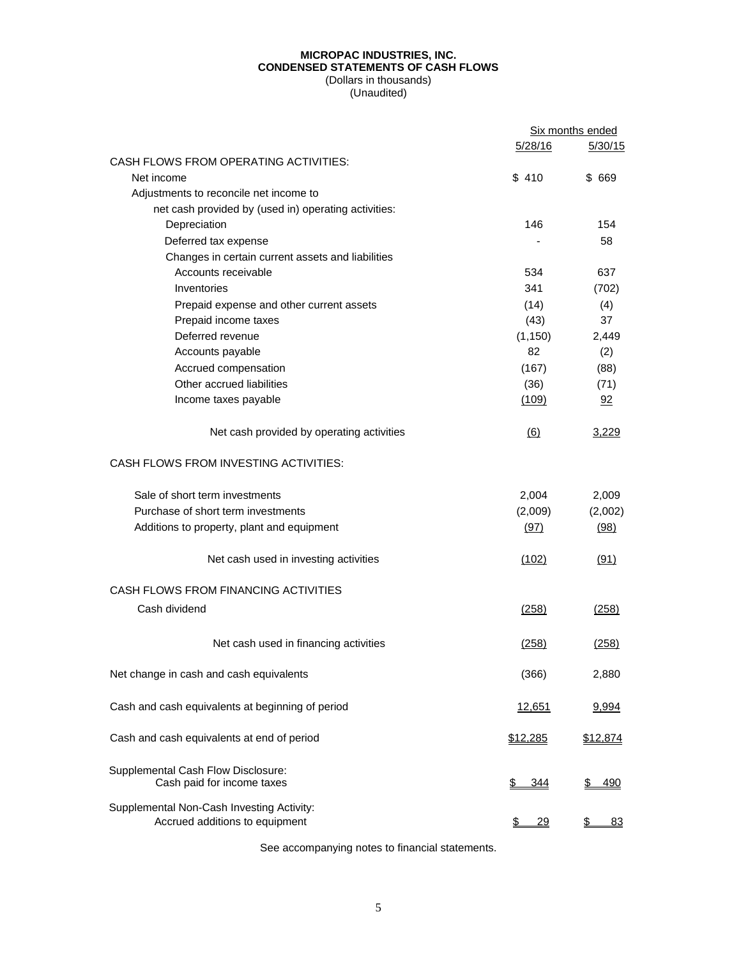# **MICROPAC INDUSTRIES, INC. CONDENSED STATEMENTS OF CASH FLOWS** (Dollars in thousands)

(Unaudited)

|                                                                             |               | Six months ended |
|-----------------------------------------------------------------------------|---------------|------------------|
|                                                                             | 5/28/16       | 5/30/15          |
| CASH FLOWS FROM OPERATING ACTIVITIES:                                       |               |                  |
| Net income                                                                  | \$410         | \$ 669           |
| Adjustments to reconcile net income to                                      |               |                  |
| net cash provided by (used in) operating activities:                        |               |                  |
| Depreciation                                                                | 146           | 154              |
| Deferred tax expense                                                        |               | 58               |
| Changes in certain current assets and liabilities                           |               |                  |
| Accounts receivable                                                         | 534           | 637              |
| Inventories                                                                 | 341           | (702)            |
| Prepaid expense and other current assets                                    | (14)          | (4)              |
| Prepaid income taxes                                                        | (43)          | 37               |
| Deferred revenue                                                            | (1, 150)      | 2,449            |
| Accounts payable                                                            | 82            | (2)              |
| Accrued compensation                                                        | (167)         | (88)             |
| Other accrued liabilities                                                   | (36)          | (71)             |
| Income taxes payable                                                        | (109)         | 92               |
| Net cash provided by operating activities                                   | (6)           | 3,229            |
| CASH FLOWS FROM INVESTING ACTIVITIES:                                       |               |                  |
| Sale of short term investments                                              | 2,004         | 2,009            |
| Purchase of short term investments                                          | (2,009)       | (2,002)          |
| Additions to property, plant and equipment                                  | (97)          | (98)             |
| Net cash used in investing activities                                       | (102)         | (91)             |
| CASH FLOWS FROM FINANCING ACTIVITIES                                        |               |                  |
| Cash dividend                                                               | (258)         | (258)            |
| Net cash used in financing activities                                       | (258)         | (258)            |
| Net change in cash and cash equivalents                                     | (366)         | 2,880            |
| Cash and cash equivalents at beginning of period                            | <u>12,651</u> | 9,994            |
| Cash and cash equivalents at end of period                                  | \$12,285      | \$12,874         |
| Supplemental Cash Flow Disclosure:                                          |               |                  |
| Cash paid for income taxes                                                  | \$<br>344     | \$<br>490        |
| Supplemental Non-Cash Investing Activity:<br>Accrued additions to equipment | 29<br>S       | S<br>83          |

See accompanying notes to financial statements.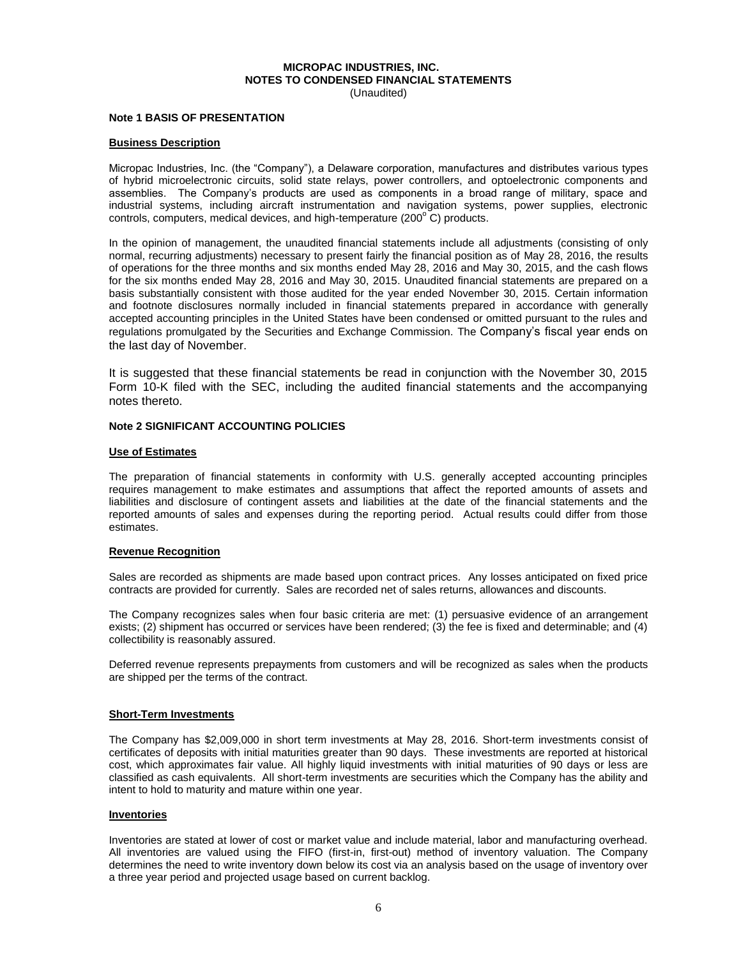# **MICROPAC INDUSTRIES, INC. NOTES TO CONDENSED FINANCIAL STATEMENTS**

(Unaudited)

#### **Note 1 BASIS OF PRESENTATION**

### **Business Description**

Micropac Industries, Inc. (the "Company"), a Delaware corporation, manufactures and distributes various types of hybrid microelectronic circuits, solid state relays, power controllers, and optoelectronic components and assemblies. The Company's products are used as components in a broad range of military, space and industrial systems, including aircraft instrumentation and navigation systems, power supplies, electronic controls, computers, medical devices, and high-temperature (200 $^{\circ}$  C) products.

In the opinion of management, the unaudited financial statements include all adjustments (consisting of only normal, recurring adjustments) necessary to present fairly the financial position as of May 28, 2016, the results of operations for the three months and six months ended May 28, 2016 and May 30, 2015, and the cash flows for the six months ended May 28, 2016 and May 30, 2015. Unaudited financial statements are prepared on a basis substantially consistent with those audited for the year ended November 30, 2015. Certain information and footnote disclosures normally included in financial statements prepared in accordance with generally accepted accounting principles in the United States have been condensed or omitted pursuant to the rules and regulations promulgated by the Securities and Exchange Commission. The Company's fiscal year ends on the last day of November.

It is suggested that these financial statements be read in conjunction with the November 30, 2015 Form 10-K filed with the SEC, including the audited financial statements and the accompanying notes thereto.

## **Note 2 SIGNIFICANT ACCOUNTING POLICIES**

#### **Use of Estimates**

The preparation of financial statements in conformity with U.S. generally accepted accounting principles requires management to make estimates and assumptions that affect the reported amounts of assets and liabilities and disclosure of contingent assets and liabilities at the date of the financial statements and the reported amounts of sales and expenses during the reporting period. Actual results could differ from those estimates.

### **Revenue Recognition**

Sales are recorded as shipments are made based upon contract prices. Any losses anticipated on fixed price contracts are provided for currently. Sales are recorded net of sales returns, allowances and discounts.

The Company recognizes sales when four basic criteria are met: (1) persuasive evidence of an arrangement exists; (2) shipment has occurred or services have been rendered; (3) the fee is fixed and determinable; and (4) collectibility is reasonably assured.

Deferred revenue represents prepayments from customers and will be recognized as sales when the products are shipped per the terms of the contract.

### **Short-Term Investments**

The Company has \$2,009,000 in short term investments at May 28, 2016. Short-term investments consist of certificates of deposits with initial maturities greater than 90 days. These investments are reported at historical cost, which approximates fair value. All highly liquid investments with initial maturities of 90 days or less are classified as cash equivalents. All short-term investments are securities which the Company has the ability and intent to hold to maturity and mature within one year.

### **Inventories**

Inventories are stated at lower of cost or market value and include material, labor and manufacturing overhead. All inventories are valued using the FIFO (first-in, first-out) method of inventory valuation. The Company determines the need to write inventory down below its cost via an analysis based on the usage of inventory over a three year period and projected usage based on current backlog.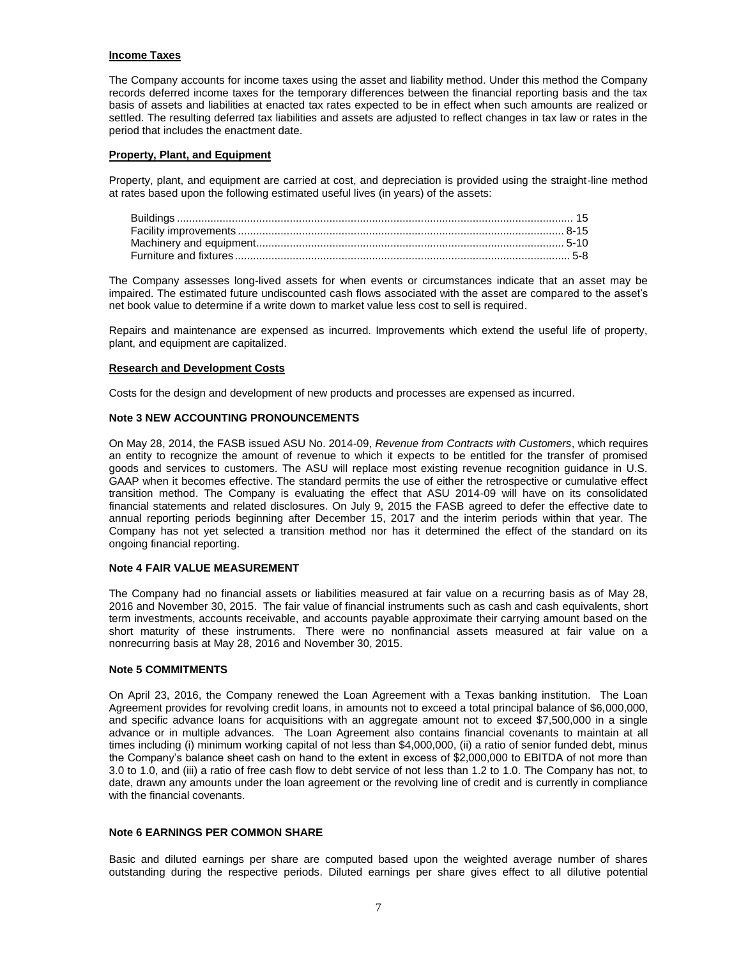### **Income Taxes**

The Company accounts for income taxes using the asset and liability method. Under this method the Company records deferred income taxes for the temporary differences between the financial reporting basis and the tax basis of assets and liabilities at enacted tax rates expected to be in effect when such amounts are realized or settled. The resulting deferred tax liabilities and assets are adjusted to reflect changes in tax law or rates in the period that includes the enactment date.

### **Property, Plant, and Equipment**

Property, plant, and equipment are carried at cost, and depreciation is provided using the straight-line method at rates based upon the following estimated useful lives (in years) of the assets:

The Company assesses long-lived assets for when events or circumstances indicate that an asset may be impaired. The estimated future undiscounted cash flows associated with the asset are compared to the asset's net book value to determine if a write down to market value less cost to sell is required.

Repairs and maintenance are expensed as incurred. Improvements which extend the useful life of property, plant, and equipment are capitalized.

### **Research and Development Costs**

Costs for the design and development of new products and processes are expensed as incurred.

### **Note 3 NEW ACCOUNTING PRONOUNCEMENTS**

On May 28, 2014, the FASB issued ASU No. 2014-09, *Revenue from Contracts with Customers*, which requires an entity to recognize the amount of revenue to which it expects to be entitled for the transfer of promised goods and services to customers. The ASU will replace most existing revenue recognition guidance in U.S. GAAP when it becomes effective. The standard permits the use of either the retrospective or cumulative effect transition method. The Company is evaluating the effect that ASU 2014-09 will have on its consolidated financial statements and related disclosures. On July 9, 2015 the FASB agreed to defer the effective date to annual reporting periods beginning after December 15, 2017 and the interim periods within that year. The Company has not yet selected a transition method nor has it determined the effect of the standard on its ongoing financial reporting.

### **Note 4 FAIR VALUE MEASUREMENT**

The Company had no financial assets or liabilities measured at fair value on a recurring basis as of May 28, 2016 and November 30, 2015. The fair value of financial instruments such as cash and cash equivalents, short term investments, accounts receivable, and accounts payable approximate their carrying amount based on the short maturity of these instruments. There were no nonfinancial assets measured at fair value on a nonrecurring basis at May 28, 2016 and November 30, 2015.

### **Note 5 COMMITMENTS**

On April 23, 2016, the Company renewed the Loan Agreement with a Texas banking institution. The Loan Agreement provides for revolving credit loans, in amounts not to exceed a total principal balance of \$6,000,000, and specific advance loans for acquisitions with an aggregate amount not to exceed \$7,500,000 in a single advance or in multiple advances. The Loan Agreement also contains financial covenants to maintain at all times including (i) minimum working capital of not less than \$4,000,000, (ii) a ratio of senior funded debt, minus the Company's balance sheet cash on hand to the extent in excess of \$2,000,000 to EBITDA of not more than 3.0 to 1.0, and (iii) a ratio of free cash flow to debt service of not less than 1.2 to 1.0. The Company has not, to date, drawn any amounts under the loan agreement or the revolving line of credit and is currently in compliance with the financial covenants.

# **Note 6 EARNINGS PER COMMON SHARE**

Basic and diluted earnings per share are computed based upon the weighted average number of shares outstanding during the respective periods. Diluted earnings per share gives effect to all dilutive potential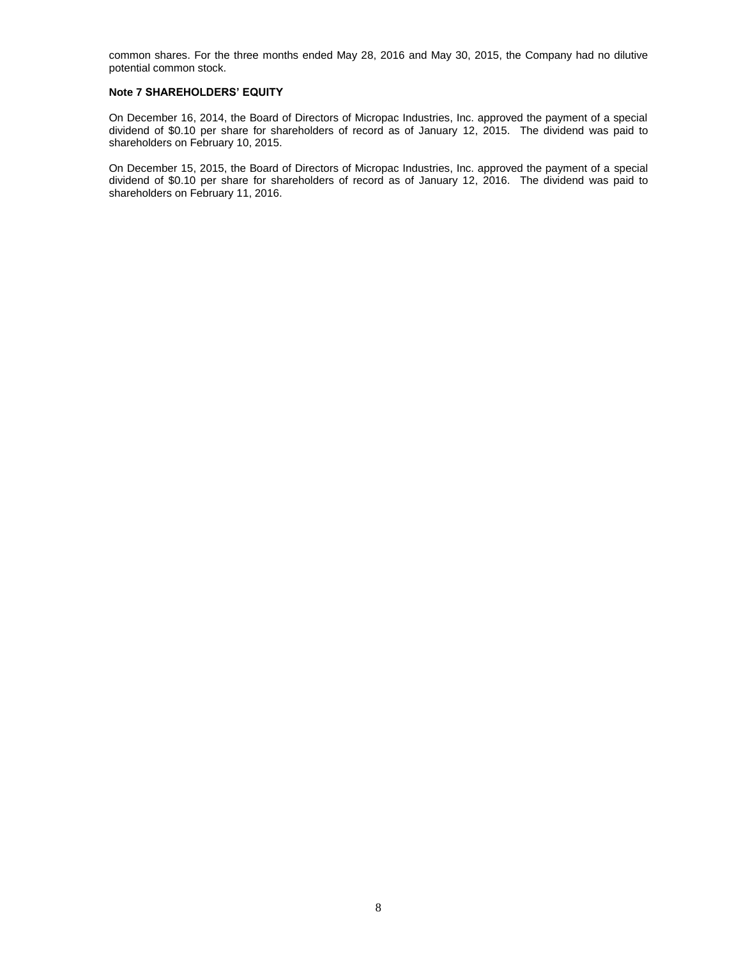common shares. For the three months ended May 28, 2016 and May 30, 2015, the Company had no dilutive potential common stock.

### **Note 7 SHAREHOLDERS' EQUITY**

On December 16, 2014, the Board of Directors of Micropac Industries, Inc. approved the payment of a special dividend of \$0.10 per share for shareholders of record as of January 12, 2015. The dividend was paid to shareholders on February 10, 2015.

On December 15, 2015, the Board of Directors of Micropac Industries, Inc. approved the payment of a special dividend of \$0.10 per share for shareholders of record as of January 12, 2016. The dividend was paid to shareholders on February 11, 2016.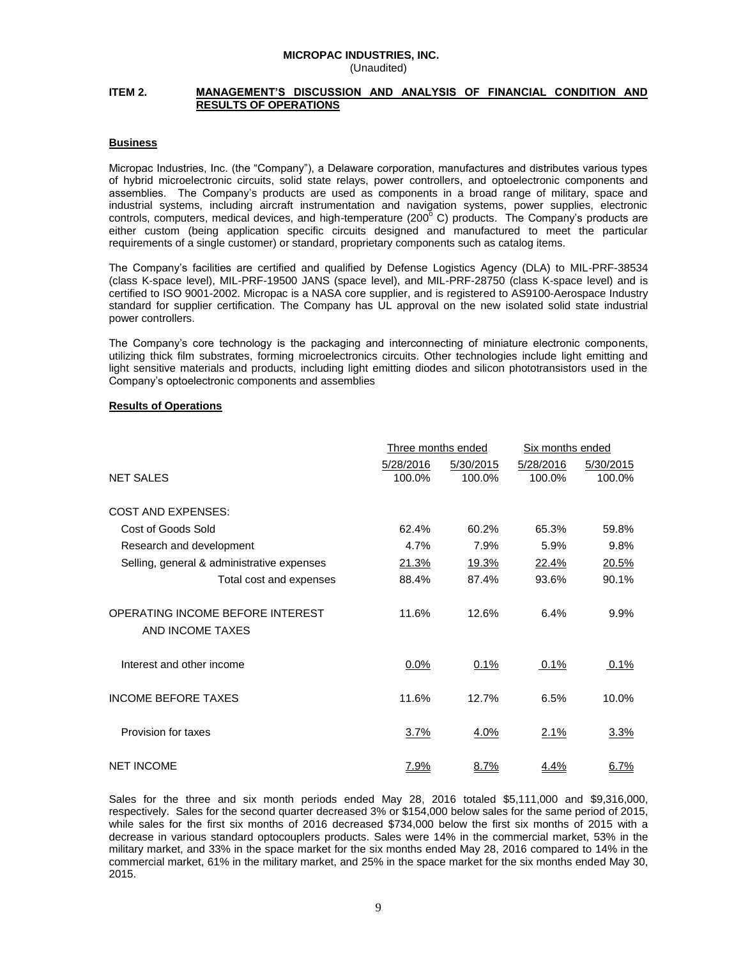### **MICROPAC INDUSTRIES, INC.** (Unaudited)

### **ITEM 2. MANAGEMENT'S DISCUSSION AND ANALYSIS OF FINANCIAL CONDITION AND RESULTS OF OPERATIONS**

### **Business**

Micropac Industries, Inc. (the "Company"), a Delaware corporation, manufactures and distributes various types of hybrid microelectronic circuits, solid state relays, power controllers, and optoelectronic components and assemblies. The Company's products are used as components in a broad range of military, space and industrial systems, including aircraft instrumentation and navigation systems, power supplies, electronic controls, computers, medical devices, and high-temperature (200°C) products. The Company's products are either custom (being application specific circuits designed and manufactured to meet the particular requirements of a single customer) or standard, proprietary components such as catalog items.

The Company's facilities are certified and qualified by Defense Logistics Agency (DLA) to MIL-PRF-38534 (class K-space level), MIL-PRF-19500 JANS (space level), and MIL-PRF-28750 (class K-space level) and is certified to ISO 9001-2002. Micropac is a NASA core supplier, and is registered to AS9100-Aerospace Industry standard for supplier certification. The Company has UL approval on the new isolated solid state industrial power controllers.

The Company's core technology is the packaging and interconnecting of miniature electronic components, utilizing thick film substrates, forming microelectronics circuits. Other technologies include light emitting and light sensitive materials and products, including light emitting diodes and silicon phototransistors used in the Company's optoelectronic components and assemblies

### **Results of Operations**

|                                            | Three months ended |           | Six months ended |             |
|--------------------------------------------|--------------------|-----------|------------------|-------------|
|                                            | 5/28/2016          | 5/30/2015 | 5/28/2016        | 5/30/2015   |
| <b>NET SALES</b>                           | 100.0%             | 100.0%    | 100.0%           | 100.0%      |
|                                            |                    |           |                  |             |
| <b>COST AND EXPENSES:</b>                  |                    |           |                  |             |
| Cost of Goods Sold                         | 62.4%              | 60.2%     | 65.3%            | 59.8%       |
| Research and development                   | 4.7%               | 7.9%      | 5.9%             | 9.8%        |
| Selling, general & administrative expenses | 21.3%              | 19.3%     | 22.4%            | 20.5%       |
| Total cost and expenses                    | 88.4%              | 87.4%     | 93.6%            | 90.1%       |
| OPERATING INCOME BEFORE INTEREST           | 11.6%              | 12.6%     | 6.4%             | 9.9%        |
| AND INCOME TAXES                           |                    |           |                  |             |
| Interest and other income                  | $0.0\%$            | 0.1%      | 0.1%             | 0.1%        |
|                                            |                    |           |                  |             |
| <b>INCOME BEFORE TAXES</b>                 | 11.6%              | 12.7%     | 6.5%             | 10.0%       |
| Provision for taxes                        | 3.7%               | 4.0%      | 2.1%             | <u>3.3%</u> |
|                                            |                    |           |                  |             |
| <b>NET INCOME</b>                          | 7.9%               | 8.7%      | 4.4%             | 6.7%        |

Sales for the three and six month periods ended May 28, 2016 totaled \$5,111,000 and \$9,316,000, respectively. Sales for the second quarter decreased 3% or \$154,000 below sales for the same period of 2015, while sales for the first six months of 2016 decreased \$734,000 below the first six months of 2015 with a decrease in various standard optocouplers products. Sales were 14% in the commercial market, 53% in the military market, and 33% in the space market for the six months ended May 28, 2016 compared to 14% in the commercial market, 61% in the military market, and 25% in the space market for the six months ended May 30, 2015.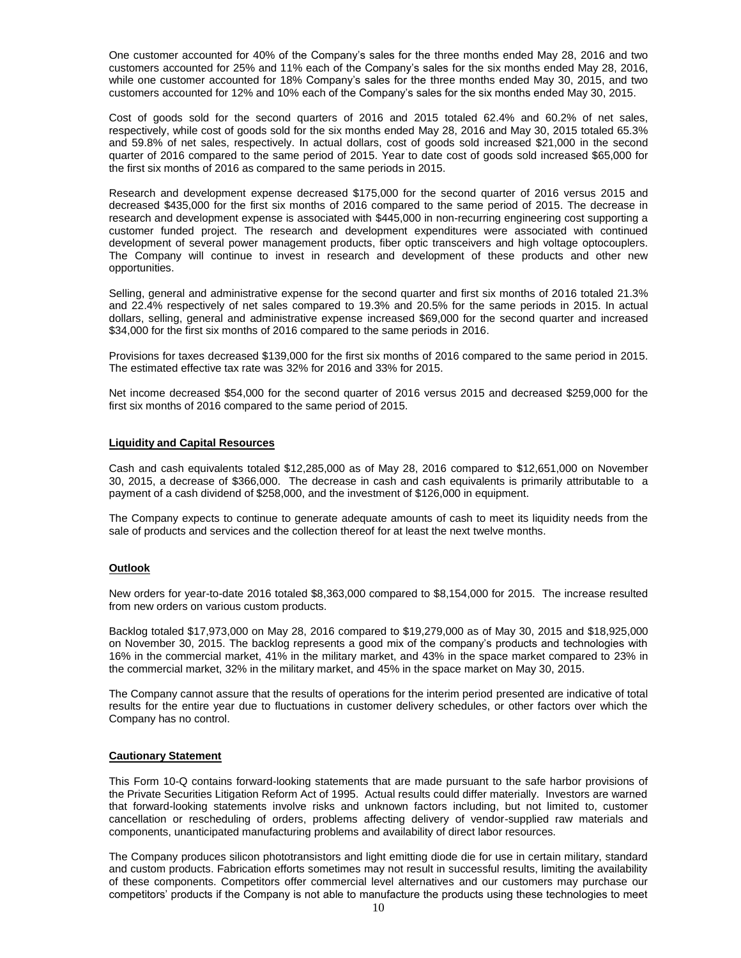One customer accounted for 40% of the Company's sales for the three months ended May 28, 2016 and two customers accounted for 25% and 11% each of the Company's sales for the six months ended May 28, 2016, while one customer accounted for 18% Company's sales for the three months ended May 30, 2015, and two customers accounted for 12% and 10% each of the Company's sales for the six months ended May 30, 2015.

Cost of goods sold for the second quarters of 2016 and 2015 totaled 62.4% and 60.2% of net sales, respectively, while cost of goods sold for the six months ended May 28, 2016 and May 30, 2015 totaled 65.3% and 59.8% of net sales, respectively. In actual dollars, cost of goods sold increased \$21,000 in the second quarter of 2016 compared to the same period of 2015. Year to date cost of goods sold increased \$65,000 for the first six months of 2016 as compared to the same periods in 2015.

Research and development expense decreased \$175,000 for the second quarter of 2016 versus 2015 and decreased \$435,000 for the first six months of 2016 compared to the same period of 2015. The decrease in research and development expense is associated with \$445,000 in non-recurring engineering cost supporting a customer funded project. The research and development expenditures were associated with continued development of several power management products, fiber optic transceivers and high voltage optocouplers. The Company will continue to invest in research and development of these products and other new opportunities.

Selling, general and administrative expense for the second quarter and first six months of 2016 totaled 21.3% and 22.4% respectively of net sales compared to 19.3% and 20.5% for the same periods in 2015. In actual dollars, selling, general and administrative expense increased \$69,000 for the second quarter and increased \$34,000 for the first six months of 2016 compared to the same periods in 2016.

Provisions for taxes decreased \$139,000 for the first six months of 2016 compared to the same period in 2015. The estimated effective tax rate was 32% for 2016 and 33% for 2015.

Net income decreased \$54,000 for the second quarter of 2016 versus 2015 and decreased \$259,000 for the first six months of 2016 compared to the same period of 2015.

### **Liquidity and Capital Resources**

Cash and cash equivalents totaled \$12,285,000 as of May 28, 2016 compared to \$12,651,000 on November 30, 2015, a decrease of \$366,000. The decrease in cash and cash equivalents is primarily attributable to a payment of a cash dividend of \$258,000, and the investment of \$126,000 in equipment.

The Company expects to continue to generate adequate amounts of cash to meet its liquidity needs from the sale of products and services and the collection thereof for at least the next twelve months.

### **Outlook**

New orders for year-to-date 2016 totaled \$8,363,000 compared to \$8,154,000 for 2015. The increase resulted from new orders on various custom products.

Backlog totaled \$17,973,000 on May 28, 2016 compared to \$19,279,000 as of May 30, 2015 and \$18,925,000 on November 30, 2015. The backlog represents a good mix of the company's products and technologies with 16% in the commercial market, 41% in the military market, and 43% in the space market compared to 23% in the commercial market, 32% in the military market, and 45% in the space market on May 30, 2015.

The Company cannot assure that the results of operations for the interim period presented are indicative of total results for the entire year due to fluctuations in customer delivery schedules, or other factors over which the Company has no control.

### **Cautionary Statement**

This Form 10-Q contains forward-looking statements that are made pursuant to the safe harbor provisions of the Private Securities Litigation Reform Act of 1995. Actual results could differ materially. Investors are warned that forward-looking statements involve risks and unknown factors including, but not limited to, customer cancellation or rescheduling of orders, problems affecting delivery of vendor-supplied raw materials and components, unanticipated manufacturing problems and availability of direct labor resources.

The Company produces silicon phototransistors and light emitting diode die for use in certain military, standard and custom products. Fabrication efforts sometimes may not result in successful results, limiting the availability of these components. Competitors offer commercial level alternatives and our customers may purchase our competitors' products if the Company is not able to manufacture the products using these technologies to meet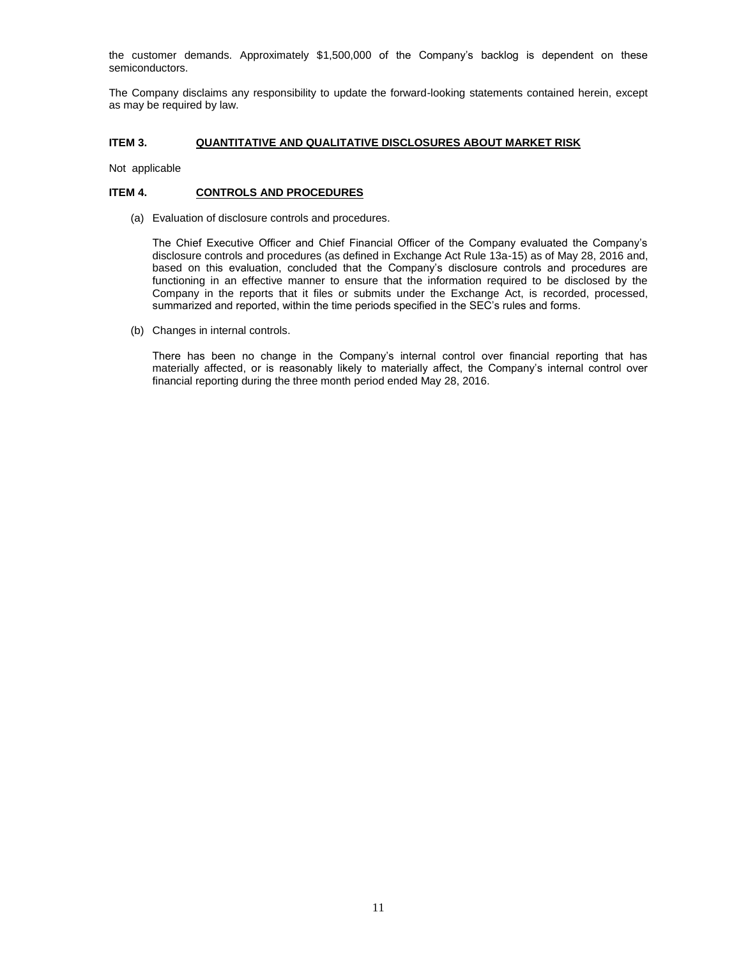the customer demands. Approximately \$1,500,000 of the Company's backlog is dependent on these semiconductors.

The Company disclaims any responsibility to update the forward-looking statements contained herein, except as may be required by law.

### **ITEM 3. QUANTITATIVE AND QUALITATIVE DISCLOSURES ABOUT MARKET RISK**

Not applicable

# **ITEM 4. CONTROLS AND PROCEDURES**

(a) Evaluation of disclosure controls and procedures.

The Chief Executive Officer and Chief Financial Officer of the Company evaluated the Company's disclosure controls and procedures (as defined in Exchange Act Rule 13a-15) as of May 28, 2016 and, based on this evaluation, concluded that the Company's disclosure controls and procedures are functioning in an effective manner to ensure that the information required to be disclosed by the Company in the reports that it files or submits under the Exchange Act, is recorded, processed, summarized and reported, within the time periods specified in the SEC's rules and forms.

(b) Changes in internal controls.

There has been no change in the Company's internal control over financial reporting that has materially affected, or is reasonably likely to materially affect, the Company's internal control over financial reporting during the three month period ended May 28, 2016.